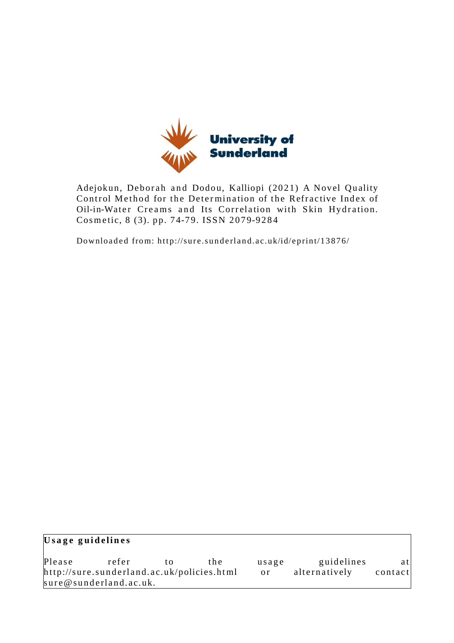

Adejokun, Deborah and Dodou, Kalliopi (2021) A Novel Quality Control Method for the Determination of the Refractive Index of Oil-in-Water Creams and Its Correlation with Skin Hydration. Cosmetic, 8 (3). pp. 74-79. ISSN 2079-9284

Downloaded from: http://sure.sunderland.ac.uk/id/eprint/13876/

| Usage guidelines |                                            |    |               |               |            |     |  |  |  |  |
|------------------|--------------------------------------------|----|---------------|---------------|------------|-----|--|--|--|--|
| Please           | refer                                      | tΩ | the.          | usage         | guidelines | atl |  |  |  |  |
|                  | http://sure.sunderland.ac.uk/policies.html |    | <sub>or</sub> | alternatively | contact    |     |  |  |  |  |
|                  | sure@sunderland.ac.uk.                     |    |               |               |            |     |  |  |  |  |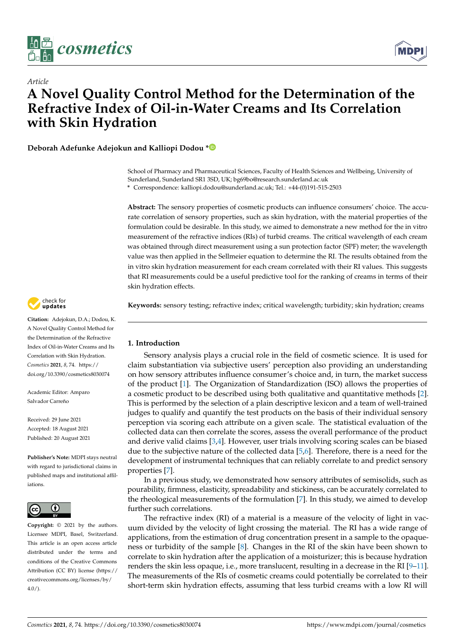

*Article*



# **A Novel Quality Control Method for the Determination of the Refractive Index of Oil-in-Water Creams and Its Correlation with Skin Hydration**

**Deborah Adefunke Adejokun and Kalliopi Dodou [\\*](https://orcid.org/0000-0002-2822-3543)**

School of Pharmacy and Pharmaceutical Sciences, Faculty of Health Sciences and Wellbeing, University of Sunderland, Sunderland SR1 3SD, UK; bg69bo@research.sunderland.ac.uk

**\*** Correspondence: kalliopi.dodou@sunderland.ac.uk; Tel.: +44-(0)191-515-2503

**Abstract:** The sensory properties of cosmetic products can influence consumers' choice. The accurate correlation of sensory properties, such as skin hydration, with the material properties of the formulation could be desirable. In this study, we aimed to demonstrate a new method for the in vitro measurement of the refractive indices (RIs) of turbid creams. The critical wavelength of each cream was obtained through direct measurement using a sun protection factor (SPF) meter; the wavelength value was then applied in the Sellmeier equation to determine the RI. The results obtained from the in vitro skin hydration measurement for each cream correlated with their RI values. This suggests that RI measurements could be a useful predictive tool for the ranking of creams in terms of their skin hydration effects.

**Keywords:** sensory testing; refractive index; critical wavelength; turbidity; skin hydration; creams

## **1. Introduction**

Sensory analysis plays a crucial role in the field of cosmetic science. It is used for claim substantiation via subjective users' perception also providing an understanding on how sensory attributes influence consumer's choice and, in turn, the market success of the product [\[1\]](#page-5-0). The Organization of Standardization (ISO) allows the properties of a cosmetic product to be described using both qualitative and quantitative methods [\[2\]](#page-5-1). This is performed by the selection of a plain descriptive lexicon and a team of well-trained judges to qualify and quantify the test products on the basis of their individual sensory perception via scoring each attribute on a given scale. The statistical evaluation of the collected data can then correlate the scores, assess the overall performance of the product and derive valid claims [\[3,](#page-5-2)[4\]](#page-5-3). However, user trials involving scoring scales can be biased due to the subjective nature of the collected data [\[5,](#page-5-4)[6\]](#page-5-5). Therefore, there is a need for the development of instrumental techniques that can reliably correlate to and predict sensory properties [\[7\]](#page-5-6).

In a previous study, we demonstrated how sensory attributes of semisolids, such as pourability, firmness, elasticity, spreadability and stickiness, can be accurately correlated to the rheological measurements of the formulation [\[7\]](#page-5-6). In this study, we aimed to develop further such correlations.

The refractive index (RI) of a material is a measure of the velocity of light in vacuum divided by the velocity of light crossing the material. The RI has a wide range of applications, from the estimation of drug concentration present in a sample to the opaqueness or turbidity of the sample [\[8\]](#page-5-7). Changes in the RI of the skin have been shown to correlate to skin hydration after the application of a moisturizer; this is because hydration renders the skin less opaque, i.e., more translucent, resulting in a decrease in the RI [\[9](#page-5-8)[–11\]](#page-6-0). The measurements of the RIs of cosmetic creams could potentially be correlated to their short-term skin hydration effects, assuming that less turbid creams with a low RI will



**Citation:** Adejokun, D.A.; Dodou, K. A Novel Quality Control Method for the Determination of the Refractive Index of Oil-in-Water Creams and Its Correlation with Skin Hydration. *Cosmetics* **2021**, *8*, 74. [https://](https://doi.org/10.3390/cosmetics8030074) [doi.org/10.3390/cosmetics8030074](https://doi.org/10.3390/cosmetics8030074)

Academic Editor: Amparo Salvador Carreño

Received: 29 June 2021 Accepted: 18 August 2021 Published: 20 August 2021

**Publisher's Note:** MDPI stays neutral with regard to jurisdictional claims in published maps and institutional affiliations.



**Copyright:** © 2021 by the authors. Licensee MDPI, Basel, Switzerland. This article is an open access article distributed under the terms and conditions of the Creative Commons Attribution (CC BY) license (https:/[/](https://creativecommons.org/licenses/by/4.0/) [creativecommons.org/licenses/by/](https://creativecommons.org/licenses/by/4.0/)  $4.0/$ ).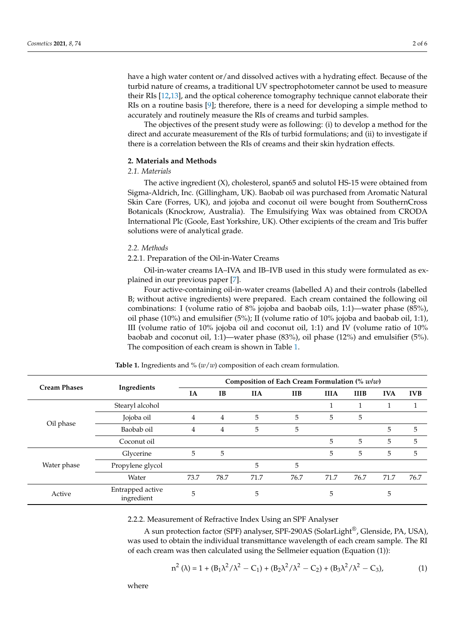have a high water content or/and dissolved actives with a hydrating effect. Because of the turbid nature of creams, a traditional UV spectrophotometer cannot be used to measure their RIs [\[12](#page-6-1)[,13\]](#page-6-2), and the optical coherence tomography technique cannot elaborate their RIs on a routine basis [\[9\]](#page-5-8); therefore, there is a need for developing a simple method to accurately and routinely measure the RIs of creams and turbid samples.

The objectives of the present study were as following: (i) to develop a method for the direct and accurate measurement of the RIs of turbid formulations; and (ii) to investigate if there is a correlation between the RIs of creams and their skin hydration effects.

# **2. Materials and Methods**

# *2.1. Materials*

The active ingredient (X), cholesterol, span65 and solutol HS-15 were obtained from Sigma-Aldrich, Inc. (Gillingham, UK). Baobab oil was purchased from Aromatic Natural Skin Care (Forres, UK), and jojoba and coconut oil were bought from SouthernCross Botanicals (Knockrow, Australia). The Emulsifying Wax was obtained from CRODA International Plc (Goole, East Yorkshire, UK). Other excipients of the cream and Tris buffer solutions were of analytical grade.

### *2.2. Methods*

2.2.1. Preparation of the Oil-in-Water Creams

Oil-in-water creams IA–IVA and IB–IVB used in this study were formulated as explained in our previous paper [\[7\]](#page-5-6).

Four active-containing oil-in-water creams (labelled A) and their controls (labelled B; without active ingredients) were prepared. Each cream contained the following oil combinations: I (volume ratio of 8% jojoba and baobab oils, 1:1)—water phase (85%), oil phase (10%) and emulsifier (5%); II (volume ratio of 10% jojoba and baobab oil, 1:1), III (volume ratio of 10% jojoba oil and coconut oil, 1:1) and IV (volume ratio of 10% baobab and coconut oil, 1:1)—water phase (83%), oil phase (12%) and emulsifier (5%). The composition of each cream is shown in Table [1.](#page-2-0)

<span id="page-2-0"></span>

| <b>Cream Phases</b> |                                | Composition of Each Cream Formulation $\left(\% \text{ w/w}\right)$ |           |            |            |             |             |            |            |
|---------------------|--------------------------------|---------------------------------------------------------------------|-----------|------------|------------|-------------|-------------|------------|------------|
|                     | Ingredients                    | IA                                                                  | <b>IB</b> | <b>IIA</b> | <b>IIB</b> | <b>IIIA</b> | <b>IIIB</b> | <b>IVA</b> | <b>IVB</b> |
|                     | Stearyl alcohol                |                                                                     |           |            |            |             |             |            |            |
|                     | Jojoba oil                     | 4                                                                   | 4         | 5          | 5          | 5           | 5           |            |            |
| Oil phase           | Baobab oil                     | 4                                                                   | 4         | 5          | 5          |             |             | 5          | 5          |
|                     | Coconut oil                    |                                                                     |           |            |            | 5           | 5           | 5          | 5          |
|                     | Glycerine                      | 5                                                                   | 5         |            |            | 5           | 5           | 5          | 5          |
| Water phase         | Propylene glycol               |                                                                     |           | 5          | 5          |             |             |            |            |
|                     | Water                          | 73.7                                                                | 78.7      | 71.7       | 76.7       | 71.7        | 76.7        | 71.7       | 76.7       |
| Active              | Entrapped active<br>ingredient | 5                                                                   |           | 5          |            | 5           |             | 5          |            |

**Table 1.** Ingredients and % (*w*/*w*) composition of each cream formulation.

2.2.2. Measurement of Refractive Index Using an SPF Analyser

A sun protection factor (SPF) analyser, SPF-290AS (SolarLight®, Glenside, PA, USA), was used to obtain the individual transmittance wavelength of each cream sample. The RI of each cream was then calculated using the Sellmeier equation (Equation (1)):

$$
n^{2} (\lambda) = 1 + (B_{1} \lambda^{2} / \lambda^{2} - C_{1}) + (B_{2} \lambda^{2} / \lambda^{2} - C_{2}) + (B_{3} \lambda^{2} / \lambda^{2} - C_{3}),
$$
 (1)

where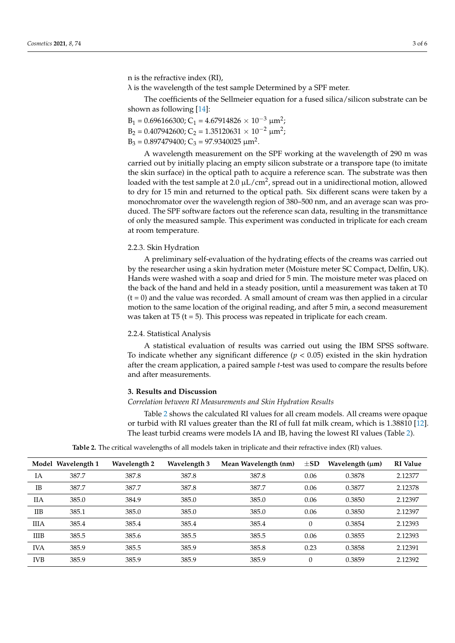n is the refractive index (RI),

 $\lambda$  is the wavelength of the test sample Determined by a SPF meter.

The coefficients of the Sellmeier equation for a fused silica/silicon substrate can be shown as following [\[14\]](#page-6-3):

$$
B_1 = 0.696166300; C_1 = 4.67914826 \times 10^{-3} \mu m^2;
$$
  
\n
$$
B_2 = 0.407942600; C_2 = 1.35120631 \times 10^{-2} \mu m^2;
$$

 $B_3 = 0.897479400; C_3 = 97.9340025 \text{ }\mu\text{m}^2.$ 

A wavelength measurement on the SPF working at the wavelength of 290 m was carried out by initially placing an empty silicon substrate or a transpore tape (to imitate the skin surface) in the optical path to acquire a reference scan. The substrate was then loaded with the test sample at 2.0  $\mu$ L/cm<sup>2</sup>, spread out in a unidirectional motion, allowed to dry for 15 min and returned to the optical path. Six different scans were taken by a monochromator over the wavelength region of 380–500 nm, and an average scan was produced. The SPF software factors out the reference scan data, resulting in the transmittance of only the measured sample. This experiment was conducted in triplicate for each cream at room temperature.

#### 2.2.3. Skin Hydration

A preliminary self-evaluation of the hydrating effects of the creams was carried out by the researcher using a skin hydration meter (Moisture meter SC Compact, Delfin, UK). Hands were washed with a soap and dried for 5 min. The moisture meter was placed on the back of the hand and held in a steady position, until a measurement was taken at T0  $(t = 0)$  and the value was recorded. A small amount of cream was then applied in a circular motion to the same location of the original reading, and after 5 min, a second measurement was taken at T5 ( $t = 5$ ). This process was repeated in triplicate for each cream.

#### 2.2.4. Statistical Analysis

A statistical evaluation of results was carried out using the IBM SPSS software. To indicate whether any significant difference  $(p < 0.05)$  existed in the skin hydration after the cream application, a paired sample *t*-test was used to compare the results before and after measurements.

#### **3. Results and Discussion**

*Correlation between RI Measurements and Skin Hydration Results*

Table [2](#page-3-0) shows the calculated RI values for all cream models. All creams were opaque or turbid with RI values greater than the RI of full fat milk cream, which is 1.38810 [\[12\]](#page-6-1). The least turbid creams were models IA and IB, having the lowest RI values (Table [2\)](#page-3-0).

<span id="page-3-0"></span>

|              | Model Wavelength 1 | Wavelength 2 | Wavelength 3 | Mean Wavelength (nm) | $\pm$ SD | Wavelength $(\mu m)$ | <b>RI</b> Value |
|--------------|--------------------|--------------|--------------|----------------------|----------|----------------------|-----------------|
| IA           | 387.7              | 387.8        | 387.8        | 387.8                | 0.06     | 0.3878               | 2.12377         |
| <b>IB</b>    | 387.7              | 387.7        | 387.8        | 387.7                | 0.06     | 0.3877               | 2.12378         |
| <b>IIA</b>   | 385.0              | 384.9        | 385.0        | 385.0                | 0.06     | 0.3850               | 2.12397         |
| $_{\rm IIB}$ | 385.1              | 385.0        | 385.0        | 385.0                | 0.06     | 0.3850               | 2.12397         |
| <b>IIIA</b>  | 385.4              | 385.4        | 385.4        | 385.4                | $\Omega$ | 0.3854               | 2.12393         |
| <b>IIIB</b>  | 385.5              | 385.6        | 385.5        | 385.5                | 0.06     | 0.3855               | 2.12393         |
| <b>IVA</b>   | 385.9              | 385.5        | 385.9        | 385.8                | 0.23     | 0.3858               | 2.12391         |
| <b>IVB</b>   | 385.9              | 385.9        | 385.9        | 385.9                |          | 0.3859               | 2.12392         |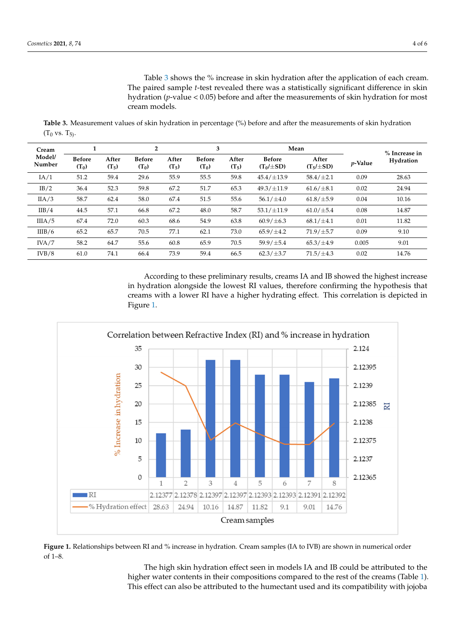Table [3](#page-4-0) shows the % increase in skin hydration after the application of each cream. Table 3 shows the % increase in skin hydration after the application of each cream. The paired sample *t*-test revealed there was a statistically significant difference in skin The paired sample *t*-test revealed there was a statistically significant difference in skin hydration (*p*-value < 0.05) before and after the measurements of skin hydration for most hydration (*p*-value < 0.05) before and after the measurements of skin hydration for most cream models. cream models.

<span id="page-4-0"></span>**Table 3.** Measurement values of skin hydration in percentage (%) before and after the measurements of skin hydration  $(T_0 \text{ vs. } T_5).$ **Table 3.** Measurement values of skin hydration in percentage (%) before and after the measurements of skin hydration (T0

| Cream<br>Model/<br>Number | 1                        |                  | $\mathbf{2}$             |                  | 3                        |                  |                                 | Mean                   |            | % Increase in |
|---------------------------|--------------------------|------------------|--------------------------|------------------|--------------------------|------------------|---------------------------------|------------------------|------------|---------------|
|                           | <b>Before</b><br>$(T_0)$ | After<br>$(T_5)$ | <b>Before</b><br>$(T_0)$ | After<br>$(T_5)$ | <b>Before</b><br>$(T_0)$ | After<br>$(T_5)$ | <b>Before</b><br>$(T_0/\pm SD)$ | After<br>$(T5/\pm SD)$ | $p$ -Value | Hydration     |
| IA/1                      | 51.2                     | 59.4             | 29.6                     | 55.9             | 55.5                     | 59.8             | $45.4/\pm 13.9$                 | $58.4/\pm2.1$          | 0.09       | 28.63         |
| IB/2                      | 36.4                     | 52.3             | 59.8                     | 67.2             | 51.7                     | 65.3             | $49.3/\pm11.9$                  | $61.6/\pm8.1$          | 0.02       | 24.94         |
| IIA/3                     | 58.7                     | 62.4             | 58.0                     | 67.4             | 51.5                     | 55.6             | $56.1/\pm4.0$                   | $61.8/\pm5.9$          | 0.04       | 10.16         |
| IIB/4                     | 44.5                     | 57.1             | 66.8                     | 67.2             | 48.0                     | 58.7             | $53.1/\pm11.9$                  | $61.0/\pm5.4$          | 0.08       | 14.87         |
| IIIA/5                    | 67.4                     | 72.0             | 60.3                     | 68.6             | 54.9                     | 63.8             | $60.9 / \pm 6.3$                | $68.1/\pm4.1$          | 0.01       | 11.82         |
| IIIB/6                    | 65.2                     | 65.7             | 70.5                     | 77.1             | 62.1                     | 73.0             | $65.9/\pm4.2$                   | $71.9/\pm 5.7$         | 0.09       | 9.10          |
| $INA/7$                   | 58.2                     | 64.7             | 55.6                     | 60.8             | 65.9                     | 70.5             | $59.9 / \pm 5.4$                | $65.3/\pm4.9$          | 0.005      | 9.01          |
| IVB/8                     | 61.0                     | 74.1             | 66.4                     | 73.9             | 59.4                     | 66.5             | $62.3/\pm3.7$                   | $71.5/\pm 4.3$         | 0.02       | 14.76         |
|                           |                          |                  |                          |                  |                          |                  |                                 |                        |            |               |

According to these preliminary results, creams IA and IB showed the highest increase According to these preliminary results, creams IA and IB showed the highest increase in hydration alongside the lowest RI values, therefore confirming the hypothesis that in hydration alongside the lowest RI values, therefore confirming the hypothesis that creams with a lower RI have a higher hydrating effect. This correlation is depicted in creams with a lower RI have a higher hydrating effect. This correlation is depicted in Figure [1.](#page-4-1) Figure 1.

<span id="page-4-1"></span>

Figure 1. Relationships between RI and % increase in hydration. Cream samples (IA to IVB) are shown in numerical order of 1–8. of 1–8.

The high skin hydration effect seen in models IA and IB could be attributed to the higher water contents in their compositions compared to the rest of the creams (Table [1\)](#page-2-0). higher water contents in their compositions compared to the rest of the creams (Table 1). This effect can also be attributed to the humectant used and its compatibility with jojoba This effect can also be attributed to the humectant used and its compatibility with jojobaThe high skin hydration effect seen in models IA and IB could be attributed to the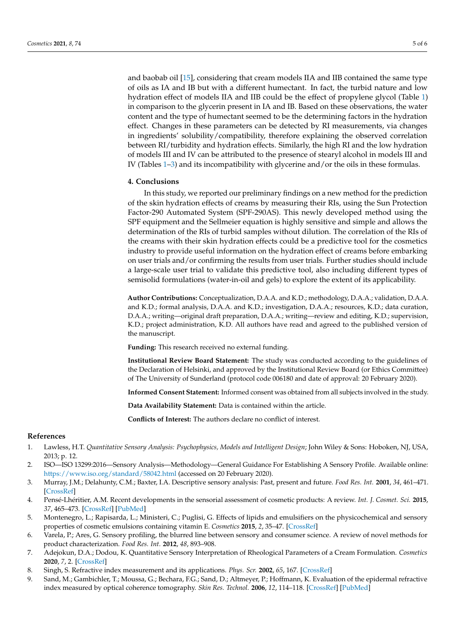and baobab oil [\[15\]](#page-6-4), considering that cream models IIA and IIB contained the same type of oils as IA and IB but with a different humectant. In fact, the turbid nature and low hydration effect of models IIA and IIB could be the effect of propylene glycol (Table [1\)](#page-2-0) in comparison to the glycerin present in IA and IB. Based on these observations, the water content and the type of humectant seemed to be the determining factors in the hydration effect. Changes in these parameters can be detected by RI measurements, via changes in ingredients' solubility/compatibility, therefore explaining the observed correlation between RI/turbidity and hydration effects. Similarly, the high RI and the low hydration of models III and IV can be attributed to the presence of stearyl alcohol in models III and IV (Tables [1–](#page-2-0)[3\)](#page-4-0) and its incompatibility with glycerine and/or the oils in these formulas.

#### **4. Conclusions**

In this study, we reported our preliminary findings on a new method for the prediction of the skin hydration effects of creams by measuring their RIs, using the Sun Protection Factor-290 Automated System (SPF-290AS). This newly developed method using the SPF equipment and the Sellmeier equation is highly sensitive and simple and allows the determination of the RIs of turbid samples without dilution. The correlation of the RIs of the creams with their skin hydration effects could be a predictive tool for the cosmetics industry to provide useful information on the hydration effect of creams before embarking on user trials and/or confirming the results from user trials. Further studies should include a large-scale user trial to validate this predictive tool, also including different types of semisolid formulations (water-in-oil and gels) to explore the extent of its applicability.

**Author Contributions:** Conceptualization, D.A.A. and K.D.; methodology, D.A.A.; validation, D.A.A. and K.D.; formal analysis, D.A.A. and K.D.; investigation, D.A.A.; resources, K.D.; data curation, D.A.A.; writing—original draft preparation, D.A.A.; writing—review and editing, K.D.; supervision, K.D.; project administration, K.D. All authors have read and agreed to the published version of the manuscript.

**Funding:** This research received no external funding.

**Institutional Review Board Statement:** The study was conducted according to the guidelines of the Declaration of Helsinki, and approved by the Institutional Review Board (or Ethics Committee) of The University of Sunderland (protocol code 006180 and date of approval: 20 February 2020).

**Informed Consent Statement:** Informed consent was obtained from all subjects involved in the study.

**Data Availability Statement:** Data is contained within the article.

**Conflicts of Interest:** The authors declare no conflict of interest.

#### **References**

- <span id="page-5-0"></span>1. Lawless, H.T. *Quantitative Sensory Analysis: Psychophysics, Models and Intelligent Design*; John Wiley & Sons: Hoboken, NJ, USA, 2013; p. 12.
- <span id="page-5-1"></span>2. ISO—ISO 13299:2016—Sensory Analysis—Methodology—General Guidance For Establishing A Sensory Profile. Available online: <https://www.iso.org/standard/58042.html> (accessed on 20 February 2020).
- <span id="page-5-2"></span>3. Murray, J.M.; Delahunty, C.M.; Baxter, I.A. Descriptive sensory analysis: Past, present and future. *Food Res. Int.* **2001**, *34*, 461–471. [\[CrossRef\]](http://doi.org/10.1016/S0963-9969(01)00070-9)
- <span id="page-5-3"></span>4. Pensé-Lhéritier, A.M. Recent developments in the sensorial assessment of cosmetic products: A review. *Int. J. Cosmet. Sci.* **2015**, *37*, 465–473. [\[CrossRef\]](http://doi.org/10.1111/ics.12223) [\[PubMed\]](http://www.ncbi.nlm.nih.gov/pubmed/25824827)
- <span id="page-5-4"></span>5. Montenegro, L.; Rapisarda, L.; Ministeri, C.; Puglisi, G. Effects of lipids and emulsifiers on the physicochemical and sensory properties of cosmetic emulsions containing vitamin E. *Cosmetics* **2015**, *2*, 35–47. [\[CrossRef\]](http://doi.org/10.3390/cosmetics2010035)
- <span id="page-5-5"></span>6. Varela, P.; Ares, G. Sensory profiling, the blurred line between sensory and consumer science. A review of novel methods for product characterization. *Food Res. Int.* **2012**, *48*, 893–908.
- <span id="page-5-6"></span>7. Adejokun, D.A.; Dodou, K. Quantitative Sensory Interpretation of Rheological Parameters of a Cream Formulation. *Cosmetics* **2020**, *7*, 2. [\[CrossRef\]](http://doi.org/10.3390/cosmetics7010002)
- <span id="page-5-7"></span>8. Singh, S. Refractive index measurement and its applications. *Phys. Scr.* **2002**, *65*, 167. [\[CrossRef\]](http://doi.org/10.1238/Physica.Regular.065a00167)
- <span id="page-5-8"></span>9. Sand, M.; Gambichler, T.; Moussa, G.; Bechara, F.G.; Sand, D.; Altmeyer, P.; Hoffmann, K. Evaluation of the epidermal refractive index measured by optical coherence tomography. *Skin Res. Technol.* **2006**, *12*, 114–118. [\[CrossRef\]](http://doi.org/10.1111/j.0909-752X.2006.00144.x) [\[PubMed\]](http://www.ncbi.nlm.nih.gov/pubmed/16626385)